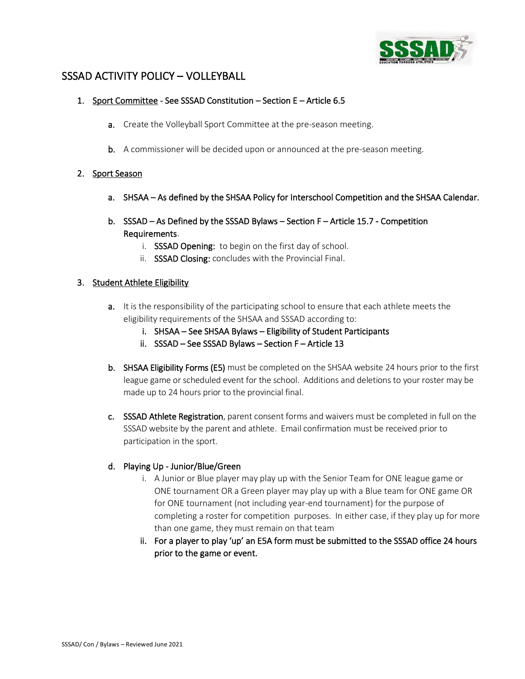

# SSSAD ACTIVITY POLICY – VOLLEYBALL

### 1. Sport Committee - See SSSAD Constitution – Section E – Article 6.5

- a. Create the Volleyball Sport Committee at the pre-season meeting.
- b. A commissioner will be decided upon or announced at the pre-season meeting.

# 2. Sport Season

- a. SHSAA As defined by the SHSAA Policy for Interschool Competition and the SHSAA Calendar.
- b. SSSAD As Defined by the SSSAD Bylaws Section F Article 15.7 Competition Requirements.
	- i. SSSAD Opening: to begin on the first day of school.
	- ii. SSSAD Closing: concludes with the Provincial Final.

#### 3. Student Athlete Eligibility

- a. It is the responsibility of the participating school to ensure that each athlete meets the eligibility requirements of the SHSAA and SSSAD according to:
	- i. SHSAA See SHSAA Bylaws Eligibility of Student Participants
	- ii. SSSAD See SSSAD Bylaws Section F Article 13
- b. SHSAA Eligibility Forms (E5) must be completed on the SHSAA website 24 hours prior to the first league game or scheduled event for the school. Additions and deletions to your roster may be made up to 24 hours prior to the provincial final.
- c. SSSAD Athlete Registration, parent consent forms and waivers must be completed in full on the SSSAD website by the parent and athlete. Email confirmation must be received prior to participation in the sport.

#### d. Playing Up - Junior/Blue/Green

- i. A Junior or Blue player may play up with the Senior Team for ONE league game or ONE tournament OR a Green player may play up with a Blue team for ONE game OR for ONE tournament (not including year-end tournament) for the purpose of completing a roster for competition purposes. In either case, if they play up for more than one game, they must remain on that team
- ii. For a player to play 'up' an E5A form must be submitted to the SSSAD office 24 hours prior to the game or event.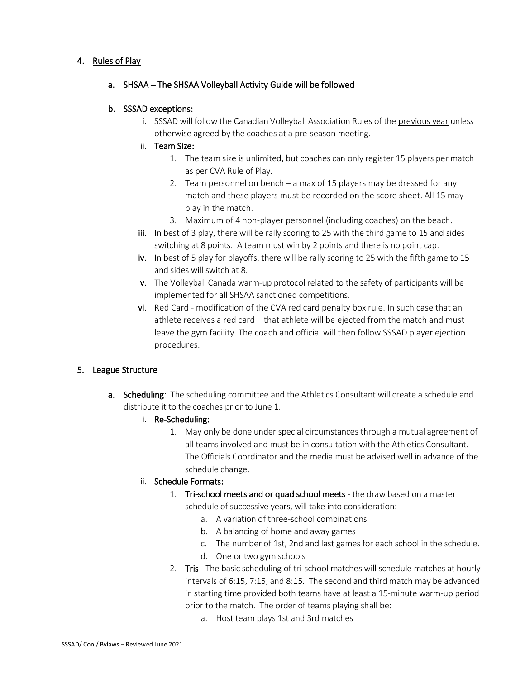# 4. Rules of Play

# a. SHSAA – The SHSAA Volleyball Activity Guide will be followed

# b. SSSAD exceptions:

- i. SSSAD will follow the Canadian Volleyball Association Rules of the previous year unless otherwise agreed by the coaches at a pre-season meeting.
- ii. Team Size:
	- 1. The team size is unlimited, but coaches can only register 15 players per match as per CVA Rule of Play.
	- 2. Team personnel on bench a max of 15 players may be dressed for any match and these players must be recorded on the score sheet. All 15 may play in the match.
	- 3. Maximum of 4 non-player personnel (including coaches) on the beach.
- iii. In best of 3 play, there will be rally scoring to 25 with the third game to 15 and sides switching at 8 points. A team must win by 2 points and there is no point cap.
- iv. In best of 5 play for playoffs, there will be rally scoring to 25 with the fifth game to 15 and sides will switch at 8.
- v. The Volleyball Canada warm-up protocol related to the safety of participants will be implemented for all SHSAA sanctioned competitions.
- vi. Red Card modification of the CVA red card penalty box rule. In such case that an athlete receives a red card – that athlete will be ejected from the match and must leave the gym facility. The coach and official will then follow SSSAD player ejection procedures.

# 5. League Structure

- a. Scheduling: The scheduling committee and the Athletics Consultant will create a schedule and distribute it to the coaches prior to June 1.
	- i. Re-Scheduling:
		- 1. May only be done under special circumstances through a mutual agreement of all teams involved and must be in consultation with the Athletics Consultant. The Officials Coordinator and the media must be advised well in advance of the schedule change.

#### ii. Schedule Formats:

- 1. Tri-school meets and or quad school meets the draw based on a master
	- schedule of successive years, will take into consideration:
		- a. A variation of three-school combinations
		- b. A balancing of home and away games
		- c. The number of 1st, 2nd and last games for each school in the schedule.
		- d. One or two gym schools
- 2. Tris The basic scheduling of tri-school matches will schedule matches at hourly intervals of 6:15, 7:15, and 8:15. The second and third match may be advanced in starting time provided both teams have at least a 15-minute warm-up period prior to the match. The order of teams playing shall be:
	- a. Host team plays 1st and 3rd matches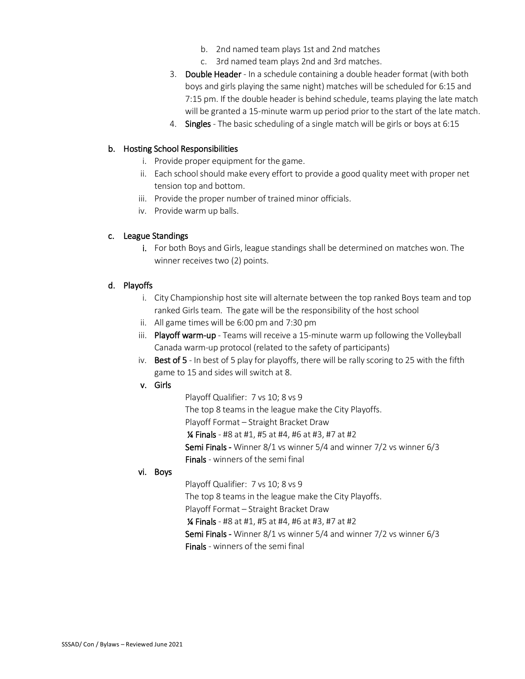- b. 2nd named team plays 1st and 2nd matches
- c. 3rd named team plays 2nd and 3rd matches.
- 3. Double Header In a schedule containing a double header format (with both boys and girls playing the same night) matches will be scheduled for 6:15 and 7:15 pm. If the double header is behind schedule, teams playing the late match will be granted a 15-minute warm up period prior to the start of the late match.
- 4. Singles The basic scheduling of a single match will be girls or boys at 6:15

### b. Hosting School Responsibilities

- i. Provide proper equipment for the game.
- ii. Each school should make every effort to provide a good quality meet with proper net tension top and bottom.
- iii. Provide the proper number of trained minor officials.
- iv. Provide warm up balls.

# c. League Standings

i. For both Boys and Girls, league standings shall be determined on matches won. The winner receives two (2) points.

# d. Playoffs

- i. City Championship host site will alternate between the top ranked Boys team and top ranked Girls team. The gate will be the responsibility of the host school
- ii. All game times will be 6:00 pm and 7:30 pm
- iii. Playoff warm-up Teams will receive a 15-minute warm up following the Volleyball Canada warm-up protocol (related to the safety of participants)
- iv. Best of  $5$  In best of 5 play for playoffs, there will be rally scoring to 25 with the fifth game to 15 and sides will switch at 8.
- v. Girls

Playoff Qualifier: 7 vs 10; 8 vs 9 The top 8 teams in the league make the City Playoffs. Playoff Format – Straight Bracket Draw ¼ Finals - #8 at #1, #5 at #4, #6 at #3, #7 at #2 Semi Finals - Winner 8/1 vs winner 5/4 and winner 7/2 vs winner 6/3 Finals - winners of the semi final

#### vi. Boys

Playoff Qualifier: 7 vs 10; 8 vs 9

The top 8 teams in the league make the City Playoffs.

Playoff Format – Straight Bracket Draw

¼ Finals - #8 at #1, #5 at #4, #6 at #3, #7 at #2

Semi Finals - Winner 8/1 vs winner 5/4 and winner 7/2 vs winner 6/3

Finals - winners of the semi final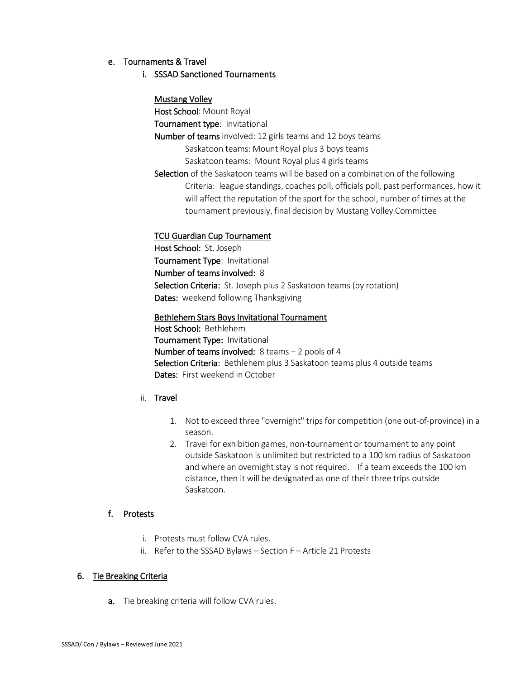#### e. Tournaments & Travel

### i. SSSAD Sanctioned Tournaments

# Mustang Volley

Host School: Mount Royal

Tournament type: Invitational

Number of teams involved: 12 girls teams and 12 boys teams

Saskatoon teams: Mount Royal plus 3 boys teams

Saskatoon teams: Mount Royal plus 4 girls teams

Selection of the Saskatoon teams will be based on a combination of the following Criteria: league standings, coaches poll, officials poll, past performances, how it will affect the reputation of the sport for the school, number of times at the tournament previously, final decision by Mustang Volley Committee

# TCU Guardian Cup Tournament

 Host School: St. Joseph Tournament Type: Invitational Number of teams involved: 8 Selection Criteria: St. Joseph plus 2 Saskatoon teams (by rotation) Dates: weekend following Thanksgiving

 Bethlehem Stars Boys Invitational Tournament Host School: Bethlehem Tournament Type: Invitational Number of teams involved: 8 teams – 2 pools of 4 Selection Criteria: Bethlehem plus 3 Saskatoon teams plus 4 outside teams Dates: First weekend in October

# ii. Travel

- 1. Not to exceed three "overnight" trips for competition (one out-of-province) in a season.
- 2. Travel for exhibition games, non-tournament or tournament to any point outside Saskatoon is unlimited but restricted to a 100 km radius of Saskatoon and where an overnight stay is not required. If a team exceeds the 100 km distance, then it will be designated as one of their three trips outside Saskatoon.

#### f. Protests

- i. Protests must follow CVA rules.
- ii. Refer to the SSSAD Bylaws Section F Article 21 Protests

# 6. Tie Breaking Criteria

a. Tie breaking criteria will follow CVA rules.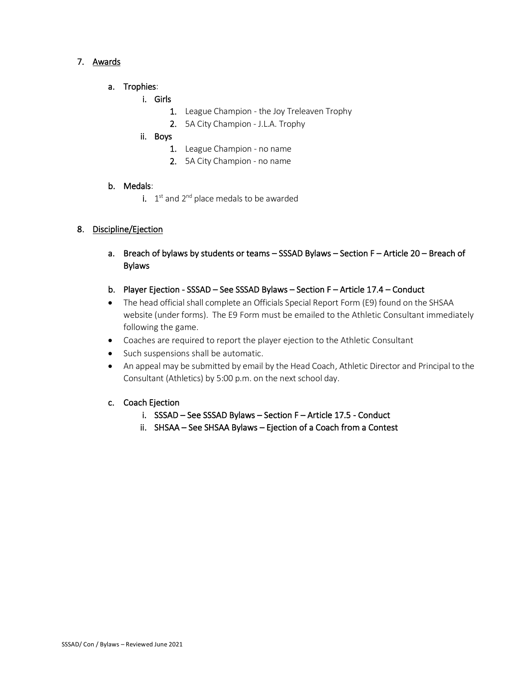# 7. Awards

- a. Trophies:
	- i. Girls
		- 1. League Champion the Joy Treleaven Trophy
		- 2. 5A City Champion J.L.A. Trophy

# ii. Boys

- 1. League Champion no name
- 2. 5A City Champion no name

# b. Medals:

i.  $1<sup>st</sup>$  and  $2<sup>nd</sup>$  place medals to be awarded

# 8. Discipline/Ejection

- a. Breach of bylaws by students or teams SSSAD Bylaws Section F Article 20 Breach of Bylaws
- b. Player Ejection SSSAD See SSSAD Bylaws Section F Article 17.4 Conduct
- The head official shall complete an Officials Special Report Form (E9) found on the SHSAA website (under forms). The E9 Form must be emailed to the Athletic Consultant immediately following the game.
- Coaches are required to report the player ejection to the Athletic Consultant
- Such suspensions shall be automatic.
- An appeal may be submitted by email by the Head Coach, Athletic Director and Principal to the Consultant (Athletics) by 5:00 p.m. on the next school day.

# c. Coach Ejection

- i. SSSAD See SSSAD Bylaws Section F Article 17.5 Conduct
- ii. SHSAA See SHSAA Bylaws Ejection of a Coach from a Contest